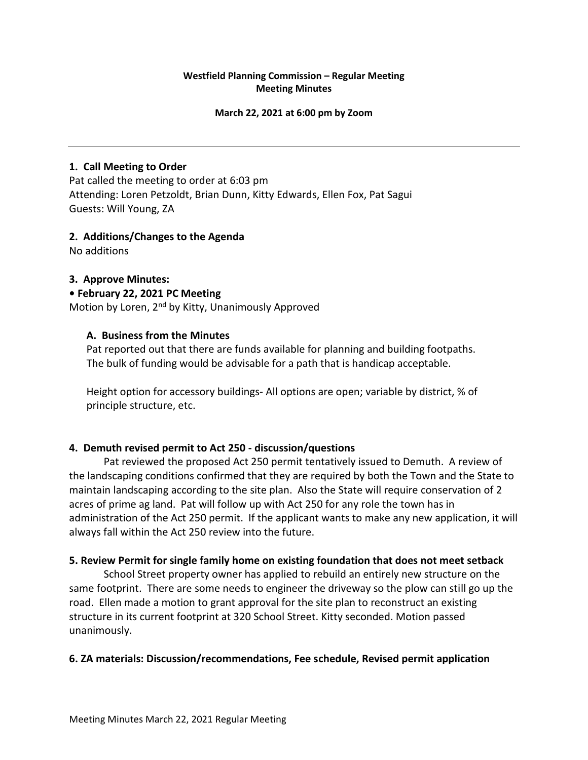# **Westfield Planning Commission – Regular Meeting Meeting Minutes**

#### **March 22, 2021 at 6:00 pm by Zoom**

## **1. Call Meeting to Order**

Pat called the meeting to order at 6:03 pm Attending: Loren Petzoldt, Brian Dunn, Kitty Edwards, Ellen Fox, Pat Sagui Guests: Will Young, ZA

### **2. Additions/Changes to the Agenda**

No additions

### **3. Approve Minutes:**

#### **• February 22, 2021 PC Meeting**

Motion by Loren, 2<sup>nd</sup> by Kitty, Unanimously Approved

### **A. Business from the Minutes**

Pat reported out that there are funds available for planning and building footpaths. The bulk of funding would be advisable for a path that is handicap acceptable.

Height option for accessory buildings- All options are open; variable by district, % of principle structure, etc.

# **4. Demuth revised permit to Act 250 - discussion/questions**

Pat reviewed the proposed Act 250 permit tentatively issued to Demuth. A review of the landscaping conditions confirmed that they are required by both the Town and the State to maintain landscaping according to the site plan. Also the State will require conservation of 2 acres of prime ag land. Pat will follow up with Act 250 for any role the town has in administration of the Act 250 permit. If the applicant wants to make any new application, it will always fall within the Act 250 review into the future.

# **5. Review Permit for single family home on existing foundation that does not meet setback**

School Street property owner has applied to rebuild an entirely new structure on the same footprint. There are some needs to engineer the driveway so the plow can still go up the road. Ellen made a motion to grant approval for the site plan to reconstruct an existing structure in its current footprint at 320 School Street. Kitty seconded. Motion passed unanimously.

#### **6. ZA materials: Discussion/recommendations, Fee schedule, Revised permit application**